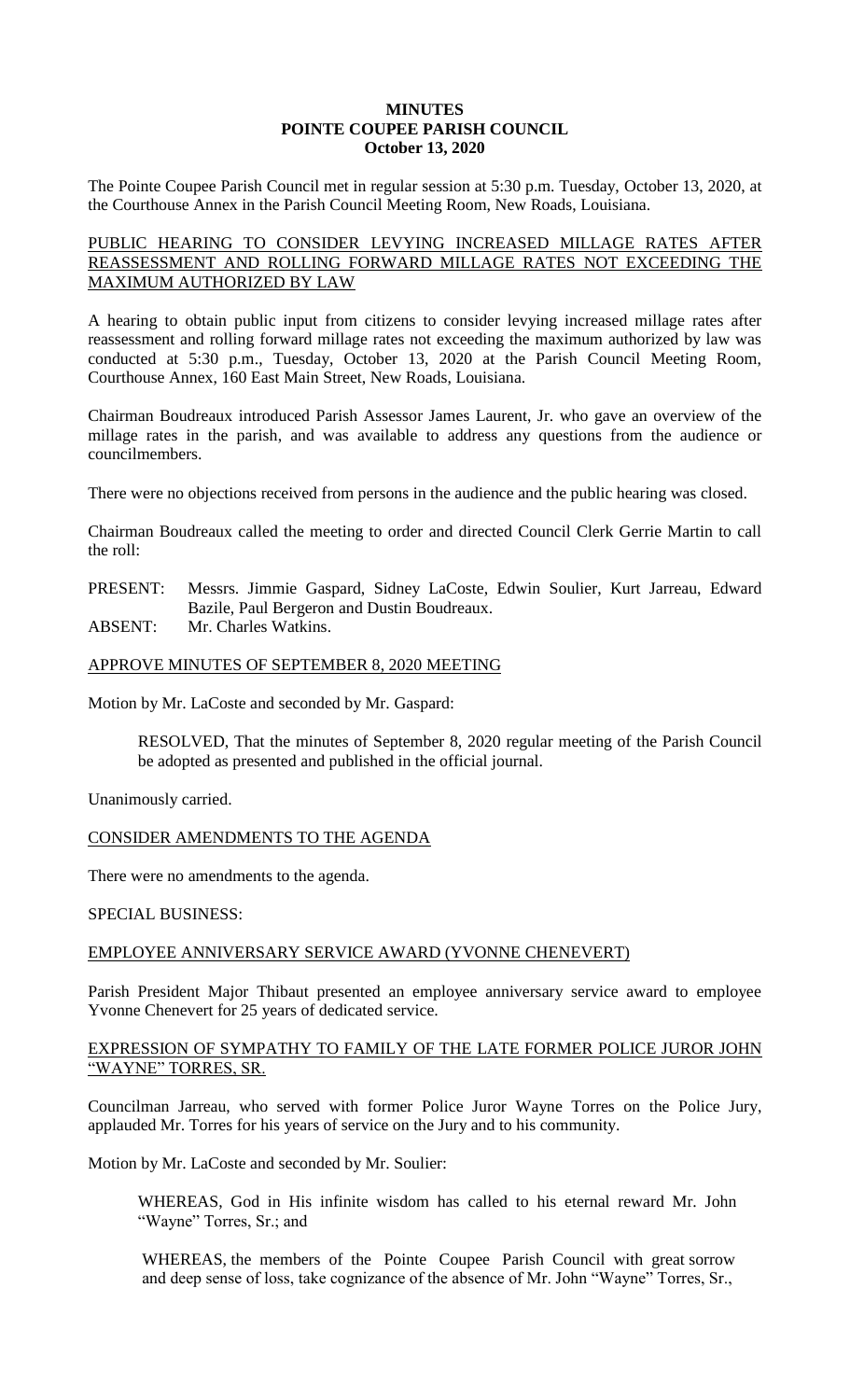### **MINUTES POINTE COUPEE PARISH COUNCIL October 13, 2020**

The Pointe Coupee Parish Council met in regular session at 5:30 p.m. Tuesday, October 13, 2020, at the Courthouse Annex in the Parish Council Meeting Room, New Roads, Louisiana.

# PUBLIC HEARING TO CONSIDER LEVYING INCREASED MILLAGE RATES AFTER REASSESSMENT AND ROLLING FORWARD MILLAGE RATES NOT EXCEEDING THE MAXIMUM AUTHORIZED BY LAW

A hearing to obtain public input from citizens to consider levying increased millage rates after reassessment and rolling forward millage rates not exceeding the maximum authorized by law was conducted at 5:30 p.m., Tuesday, October 13, 2020 at the Parish Council Meeting Room, Courthouse Annex, 160 East Main Street, New Roads, Louisiana.

Chairman Boudreaux introduced Parish Assessor James Laurent, Jr. who gave an overview of the millage rates in the parish, and was available to address any questions from the audience or councilmembers.

There were no objections received from persons in the audience and the public hearing was closed.

Chairman Boudreaux called the meeting to order and directed Council Clerk Gerrie Martin to call the roll:

PRESENT: Messrs. Jimmie Gaspard, Sidney LaCoste, Edwin Soulier, Kurt Jarreau, Edward Bazile, Paul Bergeron and Dustin Boudreaux.

ABSENT: Mr. Charles Watkins.

# APPROVE MINUTES OF SEPTEMBER 8, 2020 MEETING

Motion by Mr. LaCoste and seconded by Mr. Gaspard:

RESOLVED, That the minutes of September 8, 2020 regular meeting of the Parish Council be adopted as presented and published in the official journal.

Unanimously carried.

CONSIDER AMENDMENTS TO THE AGENDA

There were no amendments to the agenda.

SPECIAL BUSINESS:

# EMPLOYEE ANNIVERSARY SERVICE AWARD (YVONNE CHENEVERT)

Parish President Major Thibaut presented an employee anniversary service award to employee Yvonne Chenevert for 25 years of dedicated service.

# EXPRESSION OF SYMPATHY TO FAMILY OF THE LATE FORMER POLICE JUROR JOHN "WAYNE" TORRES, SR.

Councilman Jarreau, who served with former Police Juror Wayne Torres on the Police Jury, applauded Mr. Torres for his years of service on the Jury and to his community.

Motion by Mr. LaCoste and seconded by Mr. Soulier:

WHEREAS, God in His infinite wisdom has called to his eternal reward Mr. John "Wayne" Torres, Sr.; and

WHEREAS, the members of the Pointe Coupee Parish Council with great sorrow and deep sense of loss, take cognizance of the absence of Mr. John "Wayne" Torres, Sr.,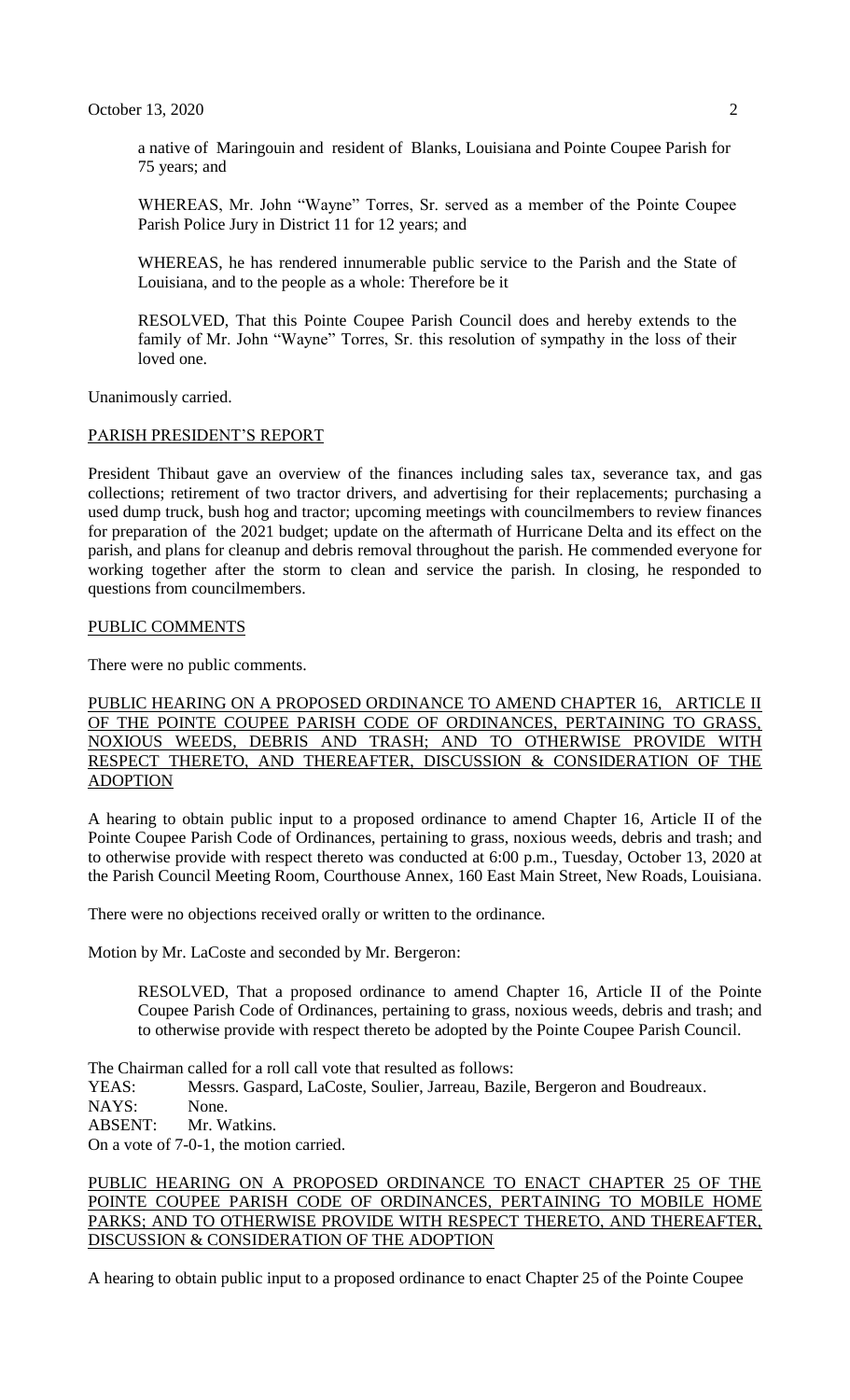a native of Maringouin and resident of Blanks, Louisiana and Pointe Coupee Parish for 75 years; and

WHEREAS, Mr. John "Wayne" Torres, Sr. served as a member of the Pointe Coupee Parish Police Jury in District 11 for 12 years; and

WHEREAS, he has rendered innumerable public service to the Parish and the State of Louisiana, and to the people as a whole: Therefore be it

RESOLVED, That this Pointe Coupee Parish Council does and hereby extends to the family of Mr. John "Wayne" Torres, Sr. this resolution of sympathy in the loss of their loved one.

Unanimously carried.

### PARISH PRESIDENT'S REPORT

President Thibaut gave an overview of the finances including sales tax, severance tax, and gas collections; retirement of two tractor drivers, and advertising for their replacements; purchasing a used dump truck, bush hog and tractor; upcoming meetings with councilmembers to review finances for preparation of the 2021 budget; update on the aftermath of Hurricane Delta and its effect on the parish, and plans for cleanup and debris removal throughout the parish. He commended everyone for working together after the storm to clean and service the parish. In closing, he responded to questions from councilmembers.

### PUBLIC COMMENTS

There were no public comments.

PUBLIC HEARING ON A PROPOSED ORDINANCE TO AMEND CHAPTER 16, ARTICLE II OF THE POINTE COUPEE PARISH CODE OF ORDINANCES, PERTAINING TO GRASS, NOXIOUS WEEDS, DEBRIS AND TRASH; AND TO OTHERWISE PROVIDE WITH RESPECT THERETO, AND THEREAFTER, DISCUSSION & CONSIDERATION OF THE ADOPTION

A hearing to obtain public input to a proposed ordinance to amend Chapter 16, Article II of the Pointe Coupee Parish Code of Ordinances, pertaining to grass, noxious weeds, debris and trash; and to otherwise provide with respect thereto was conducted at 6:00 p.m., Tuesday, October 13, 2020 at the Parish Council Meeting Room, Courthouse Annex, 160 East Main Street, New Roads, Louisiana.

There were no objections received orally or written to the ordinance.

Motion by Mr. LaCoste and seconded by Mr. Bergeron:

RESOLVED, That a proposed ordinance to amend Chapter 16, Article II of the Pointe Coupee Parish Code of Ordinances, pertaining to grass, noxious weeds, debris and trash; and to otherwise provide with respect thereto be adopted by the Pointe Coupee Parish Council.

The Chairman called for a roll call vote that resulted as follows:

YEAS: Messrs. Gaspard, LaCoste, Soulier, Jarreau, Bazile, Bergeron and Boudreaux. NAYS: None. ABSENT: Mr. Watkins.

On a vote of 7-0-1, the motion carried.

PUBLIC HEARING ON A PROPOSED ORDINANCE TO ENACT CHAPTER 25 OF THE POINTE COUPEE PARISH CODE OF ORDINANCES, PERTAINING TO MOBILE HOME PARKS; AND TO OTHERWISE PROVIDE WITH RESPECT THERETO, AND THEREAFTER, DISCUSSION & CONSIDERATION OF THE ADOPTION

A hearing to obtain public input to a proposed ordinance to enact Chapter 25 of the Pointe Coupee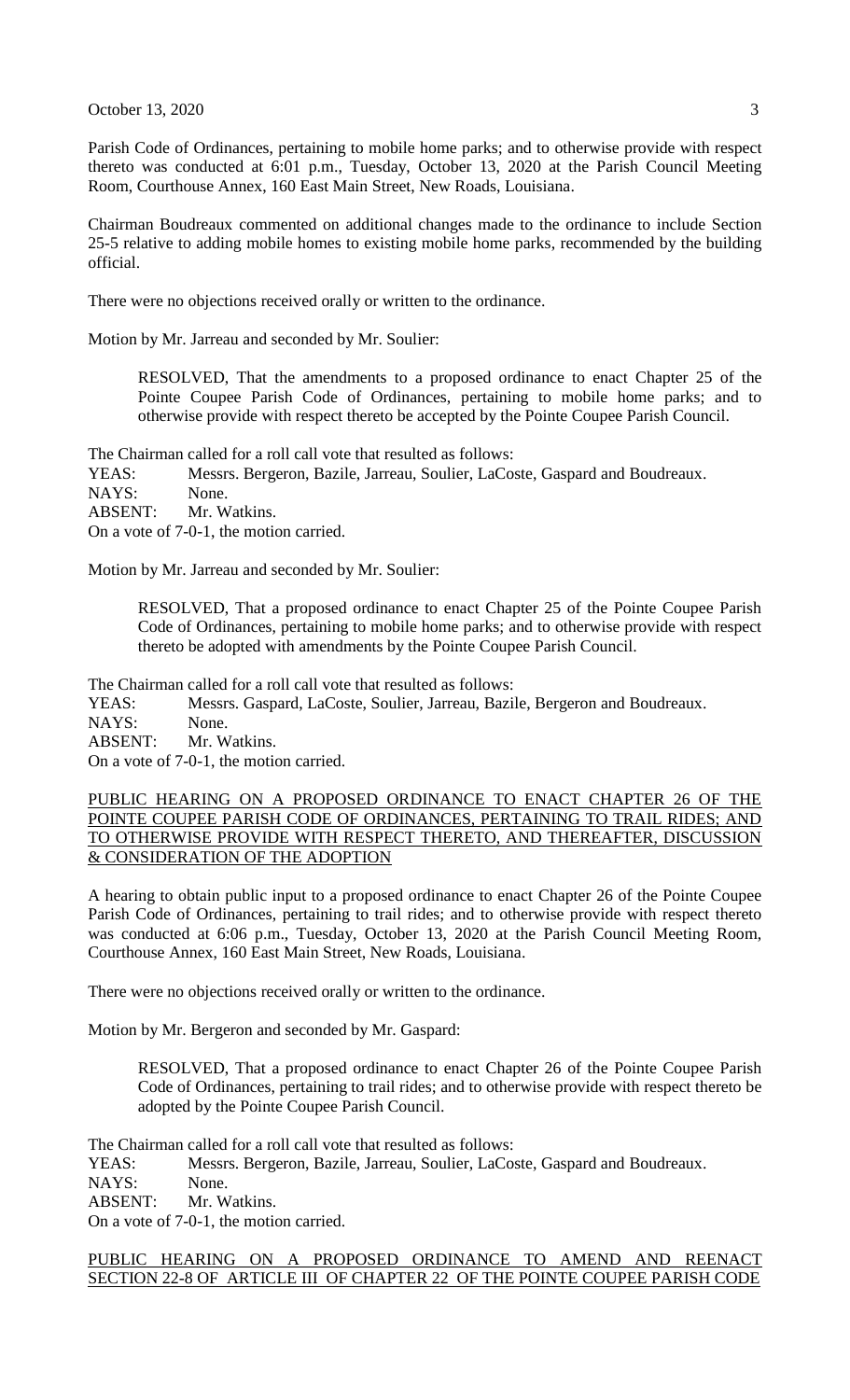October 13, 2020  $\frac{3}{2}$ 

Parish Code of Ordinances, pertaining to mobile home parks; and to otherwise provide with respect thereto was conducted at 6:01 p.m., Tuesday, October 13, 2020 at the Parish Council Meeting Room, Courthouse Annex, 160 East Main Street, New Roads, Louisiana.

Chairman Boudreaux commented on additional changes made to the ordinance to include Section 25-5 relative to adding mobile homes to existing mobile home parks, recommended by the building official.

There were no objections received orally or written to the ordinance.

Motion by Mr. Jarreau and seconded by Mr. Soulier:

RESOLVED, That the amendments to a proposed ordinance to enact Chapter 25 of the Pointe Coupee Parish Code of Ordinances, pertaining to mobile home parks; and to otherwise provide with respect thereto be accepted by the Pointe Coupee Parish Council.

The Chairman called for a roll call vote that resulted as follows:

YEAS: Messrs. Bergeron, Bazile, Jarreau, Soulier, LaCoste, Gaspard and Boudreaux. NAYS: None. ABSENT: Mr. Watkins.

On a vote of 7-0-1, the motion carried.

Motion by Mr. Jarreau and seconded by Mr. Soulier:

RESOLVED, That a proposed ordinance to enact Chapter 25 of the Pointe Coupee Parish Code of Ordinances, pertaining to mobile home parks; and to otherwise provide with respect thereto be adopted with amendments by the Pointe Coupee Parish Council.

The Chairman called for a roll call vote that resulted as follows:

YEAS: Messrs. Gaspard, LaCoste, Soulier, Jarreau, Bazile, Bergeron and Boudreaux. NAYS: None. ABSENT: Mr. Watkins.

On a vote of 7-0-1, the motion carried.

# PUBLIC HEARING ON A PROPOSED ORDINANCE TO ENACT CHAPTER 26 OF THE POINTE COUPEE PARISH CODE OF ORDINANCES, PERTAINING TO TRAIL RIDES; AND TO OTHERWISE PROVIDE WITH RESPECT THERETO, AND THEREAFTER, DISCUSSION & CONSIDERATION OF THE ADOPTION

A hearing to obtain public input to a proposed ordinance to enact Chapter 26 of the Pointe Coupee Parish Code of Ordinances, pertaining to trail rides; and to otherwise provide with respect thereto was conducted at 6:06 p.m., Tuesday, October 13, 2020 at the Parish Council Meeting Room, Courthouse Annex, 160 East Main Street, New Roads, Louisiana.

There were no objections received orally or written to the ordinance.

Motion by Mr. Bergeron and seconded by Mr. Gaspard:

RESOLVED, That a proposed ordinance to enact Chapter 26 of the Pointe Coupee Parish Code of Ordinances, pertaining to trail rides; and to otherwise provide with respect thereto be adopted by the Pointe Coupee Parish Council.

The Chairman called for a roll call vote that resulted as follows:

YEAS: Messrs. Bergeron, Bazile, Jarreau, Soulier, LaCoste, Gaspard and Boudreaux.

NAYS: None.

ABSENT: Mr. Watkins.

On a vote of 7-0-1, the motion carried.

# PUBLIC HEARING ON A PROPOSED ORDINANCE TO AMEND AND REENACT SECTION 22-8 OF ARTICLE III OF CHAPTER 22 OF THE POINTE COUPEE PARISH CODE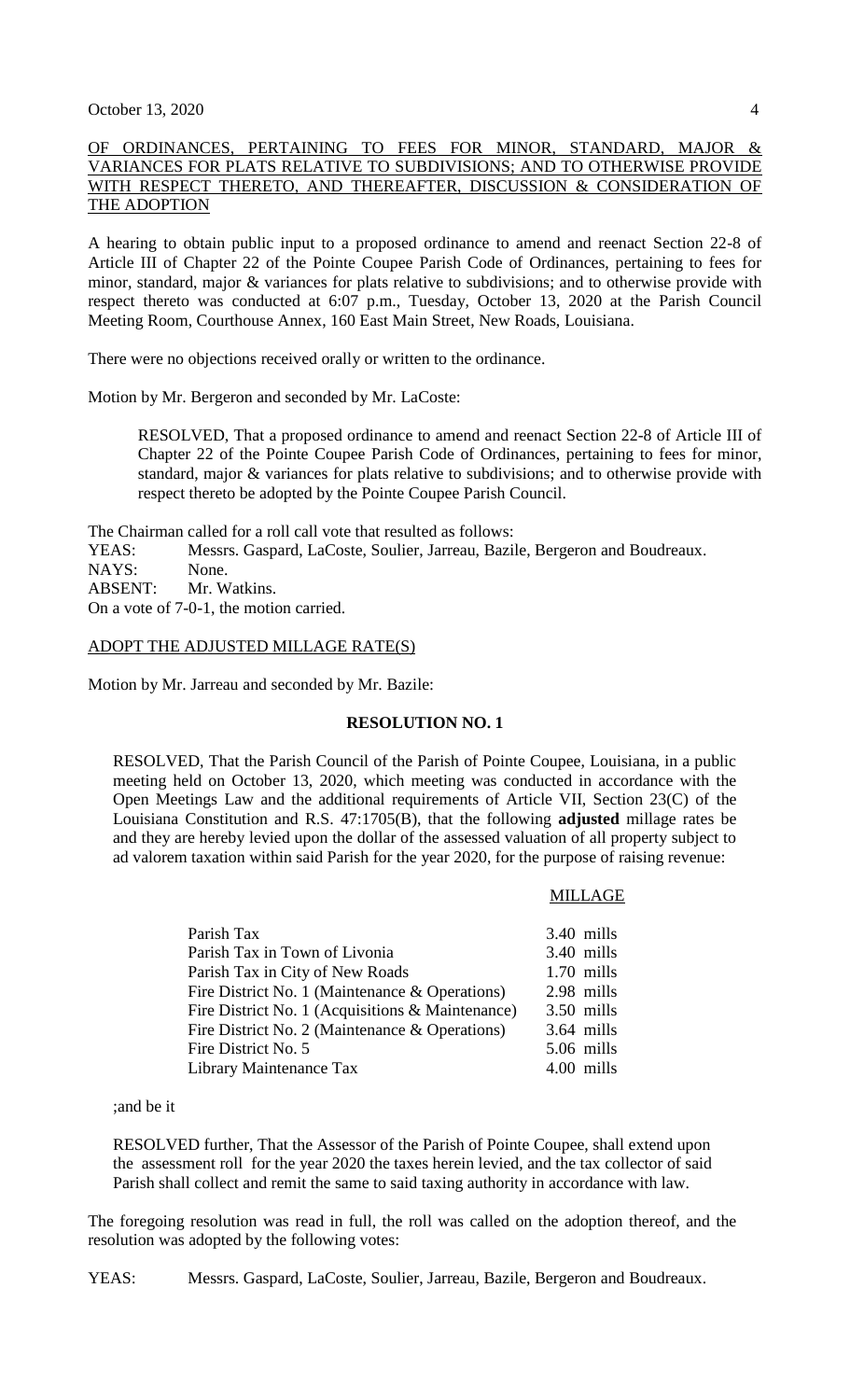# OF ORDINANCES, PERTAINING TO FEES FOR MINOR, STANDARD, MAJOR & VARIANCES FOR PLATS RELATIVE TO SUBDIVISIONS; AND TO OTHERWISE PROVIDE WITH RESPECT THERETO, AND THEREAFTER, DISCUSSION & CONSIDERATION OF THE ADOPTION

A hearing to obtain public input to a proposed ordinance to amend and reenact Section 22-8 of Article III of Chapter 22 of the Pointe Coupee Parish Code of Ordinances, pertaining to fees for minor, standard, major & variances for plats relative to subdivisions; and to otherwise provide with respect thereto was conducted at 6:07 p.m., Tuesday, October 13, 2020 at the Parish Council Meeting Room, Courthouse Annex, 160 East Main Street, New Roads, Louisiana.

There were no objections received orally or written to the ordinance.

Motion by Mr. Bergeron and seconded by Mr. LaCoste:

RESOLVED, That a proposed ordinance to amend and reenact Section 22-8 of Article III of Chapter 22 of the Pointe Coupee Parish Code of Ordinances, pertaining to fees for minor, standard, major & variances for plats relative to subdivisions; and to otherwise provide with respect thereto be adopted by the Pointe Coupee Parish Council.

The Chairman called for a roll call vote that resulted as follows:

YEAS: Messrs. Gaspard, LaCoste, Soulier, Jarreau, Bazile, Bergeron and Boudreaux.

NAYS: None.

ABSENT: Mr. Watkins.

On a vote of 7-0-1, the motion carried.

#### ADOPT THE ADJUSTED MILLAGE RATE(S)

Motion by Mr. Jarreau and seconded by Mr. Bazile:

#### **RESOLUTION NO. 1**

RESOLVED, That the Parish Council of the Parish of Pointe Coupee, Louisiana, in a public meeting held on October 13, 2020, which meeting was conducted in accordance with the Open Meetings Law and the additional requirements of Article VII, Section 23(C) of the Louisiana Constitution and R.S. 47:1705(B), that the following **adjusted** millage rates be and they are hereby levied upon the dollar of the assessed valuation of all property subject to ad valorem taxation within said Parish for the year 2020, for the purpose of raising revenue:

#### MILLAGE

| Parish Tax                                       | 3.40 mills   |
|--------------------------------------------------|--------------|
| Parish Tax in Town of Livonia                    | 3.40 mills   |
| Parish Tax in City of New Roads                  | $1.70$ mills |
| Fire District No. 1 (Maintenance & Operations)   | 2.98 mills   |
| Fire District No. 1 (Acquisitions & Maintenance) | $3.50$ mills |
| Fire District No. 2 (Maintenance & Operations)   | $3.64$ mills |
| Fire District No. 5                              | 5.06 mills   |
| Library Maintenance Tax                          | 4.00 mills   |

;and be it

RESOLVED further, That the Assessor of the Parish of Pointe Coupee, shall extend upon the assessment roll for the year 2020 the taxes herein levied, and the tax collector of said Parish shall collect and remit the same to said taxing authority in accordance with law.

The foregoing resolution was read in full, the roll was called on the adoption thereof, and the resolution was adopted by the following votes:

YEAS: Messrs. Gaspard, LaCoste, Soulier, Jarreau, Bazile, Bergeron and Boudreaux.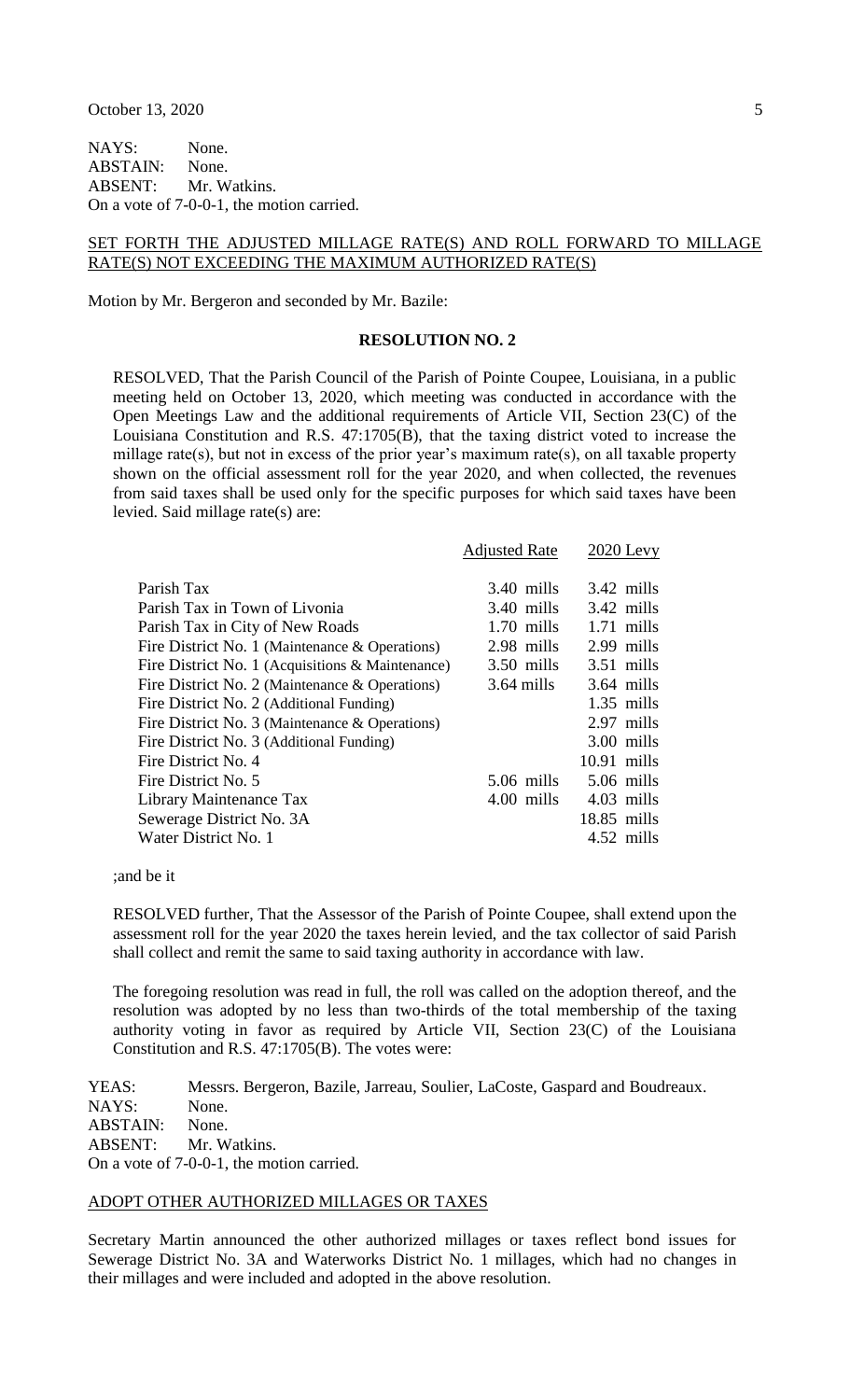NAYS: None. ABSTAIN: None. ABSENT: Mr. Watkins. On a vote of 7-0-0-1, the motion carried.

#### SET FORTH THE ADJUSTED MILLAGE RATE(S) AND ROLL FORWARD TO MILLAGE RATE(S) NOT EXCEEDING THE MAXIMUM AUTHORIZED RATE(S)

Motion by Mr. Bergeron and seconded by Mr. Bazile:

#### **RESOLUTION NO. 2**

RESOLVED, That the Parish Council of the Parish of Pointe Coupee, Louisiana, in a public meeting held on October 13, 2020, which meeting was conducted in accordance with the Open Meetings Law and the additional requirements of Article VII, Section 23(C) of the Louisiana Constitution and R.S. 47:1705(B), that the taxing district voted to increase the millage rate(s), but not in excess of the prior year's maximum rate(s), on all taxable property shown on the official assessment roll for the year 2020, and when collected, the revenues from said taxes shall be used only for the specific purposes for which said taxes have been levied. Said millage rate(s) are:

|                                                  | <b>Adjusted Rate</b> | $2020$ Levy   |
|--------------------------------------------------|----------------------|---------------|
|                                                  |                      |               |
| Parish Tax                                       | $3.40$ mills         | $3.42$ mills  |
| Parish Tax in Town of Livonia                    | $3.40 \text{ mills}$ | $3.42$ mills  |
| Parish Tax in City of New Roads                  | $1.70$ mills         | $1.71$ mills  |
| Fire District No. 1 (Maintenance & Operations)   | 2.98 mills           | 2.99 mills    |
| Fire District No. 1 (Acquisitions & Maintenance) | $3.50 \text{ mills}$ | $3.51$ mills  |
| Fire District No. 2 (Maintenance & Operations)   | $3.64$ mills         | $3.64$ mills  |
| Fire District No. 2 (Additional Funding)         |                      | $1.35$ mills  |
| Fire District No. 3 (Maintenance & Operations)   |                      | 2.97 mills    |
| Fire District No. 3 (Additional Funding)         |                      | $3.00$ mills  |
| Fire District No. 4                              |                      | $10.91$ mills |
| Fire District No. 5                              | $5.06$ mills         | $5.06$ mills  |
| Library Maintenance Tax                          | 4.00 mills           | 4.03 mills    |
| Sewerage District No. 3A                         |                      | $18.85$ mills |
| Water District No. 1                             |                      | 4.52 mills    |

;and be it

RESOLVED further, That the Assessor of the Parish of Pointe Coupee, shall extend upon the assessment roll for the year 2020 the taxes herein levied, and the tax collector of said Parish shall collect and remit the same to said taxing authority in accordance with law.

The foregoing resolution was read in full, the roll was called on the adoption thereof, and the resolution was adopted by no less than two-thirds of the total membership of the taxing authority voting in favor as required by Article VII, Section 23(C) of the Louisiana Constitution and R.S. 47:1705(B). The votes were:

YEAS: Messrs. Bergeron, Bazile, Jarreau, Soulier, LaCoste, Gaspard and Boudreaux. NAYS: None. ABSTAIN: None. ABSENT: Mr. Watkins. On a vote of 7-0-0-1, the motion carried.

#### ADOPT OTHER AUTHORIZED MILLAGES OR TAXES

Secretary Martin announced the other authorized millages or taxes reflect bond issues for Sewerage District No. 3A and Waterworks District No. 1 millages, which had no changes in their millages and were included and adopted in the above resolution.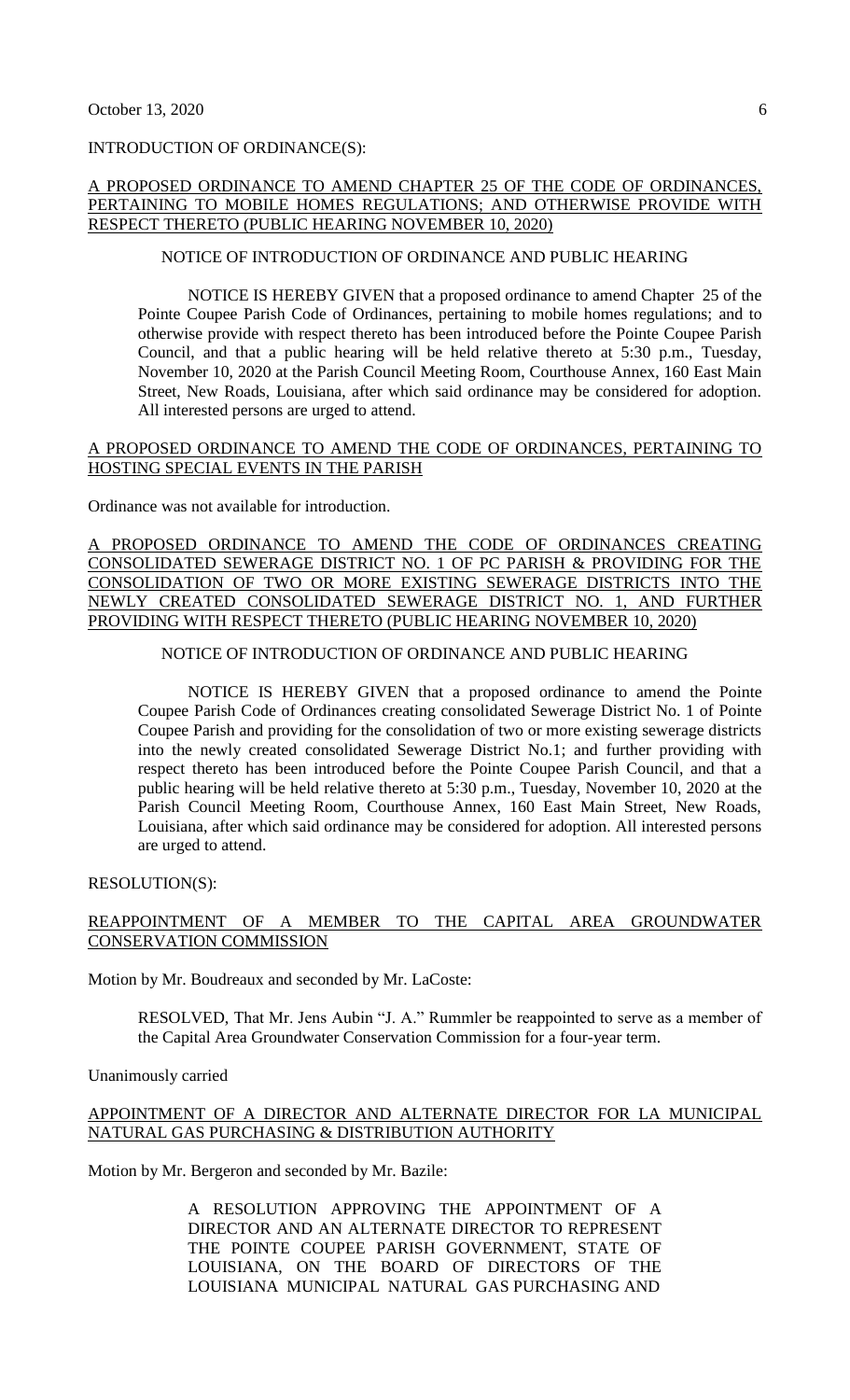# INTRODUCTION OF ORDINANCE(S):

### A PROPOSED ORDINANCE TO AMEND CHAPTER 25 OF THE CODE OF ORDINANCES, PERTAINING TO MOBILE HOMES REGULATIONS; AND OTHERWISE PROVIDE WITH RESPECT THERETO (PUBLIC HEARING NOVEMBER 10, 2020)

# NOTICE OF INTRODUCTION OF ORDINANCE AND PUBLIC HEARING

NOTICE IS HEREBY GIVEN that a proposed ordinance to amend Chapter 25 of the Pointe Coupee Parish Code of Ordinances, pertaining to mobile homes regulations; and to otherwise provide with respect thereto has been introduced before the Pointe Coupee Parish Council, and that a public hearing will be held relative thereto at 5:30 p.m., Tuesday, November 10, 2020 at the Parish Council Meeting Room, Courthouse Annex, 160 East Main Street, New Roads, Louisiana, after which said ordinance may be considered for adoption. All interested persons are urged to attend.

#### A PROPOSED ORDINANCE TO AMEND THE CODE OF ORDINANCES, PERTAINING TO HOSTING SPECIAL EVENTS IN THE PARISH

Ordinance was not available for introduction.

A PROPOSED ORDINANCE TO AMEND THE CODE OF ORDINANCES CREATING CONSOLIDATED SEWERAGE DISTRICT NO. 1 OF PC PARISH & PROVIDING FOR THE CONSOLIDATION OF TWO OR MORE EXISTING SEWERAGE DISTRICTS INTO THE NEWLY CREATED CONSOLIDATED SEWERAGE DISTRICT NO. 1, AND FURTHER PROVIDING WITH RESPECT THERETO (PUBLIC HEARING NOVEMBER 10, 2020)

### NOTICE OF INTRODUCTION OF ORDINANCE AND PUBLIC HEARING

NOTICE IS HEREBY GIVEN that a proposed ordinance to amend the Pointe Coupee Parish Code of Ordinances creating consolidated Sewerage District No. 1 of Pointe Coupee Parish and providing for the consolidation of two or more existing sewerage districts into the newly created consolidated Sewerage District No.1; and further providing with respect thereto has been introduced before the Pointe Coupee Parish Council, and that a public hearing will be held relative thereto at 5:30 p.m., Tuesday, November 10, 2020 at the Parish Council Meeting Room, Courthouse Annex, 160 East Main Street, New Roads, Louisiana, after which said ordinance may be considered for adoption. All interested persons are urged to attend.

RESOLUTION(S):

# REAPPOINTMENT OF A MEMBER TO THE CAPITAL AREA GROUNDWATER CONSERVATION COMMISSION

Motion by Mr. Boudreaux and seconded by Mr. LaCoste:

RESOLVED, That Mr. Jens Aubin "J. A." Rummler be reappointed to serve as a member of the Capital Area Groundwater Conservation Commission for a four-year term.

Unanimously carried

### APPOINTMENT OF A DIRECTOR AND ALTERNATE DIRECTOR FOR LA MUNICIPAL NATURAL GAS PURCHASING & DISTRIBUTION AUTHORITY

Motion by Mr. Bergeron and seconded by Mr. Bazile:

A RESOLUTION APPROVING THE APPOINTMENT OF A DIRECTOR AND AN ALTERNATE DIRECTOR TO REPRESENT THE POINTE COUPEE PARISH GOVERNMENT, STATE OF LOUISIANA, ON THE BOARD OF DIRECTORS OF THE LOUISIANA MUNICIPAL NATURAL GAS PURCHASING AND